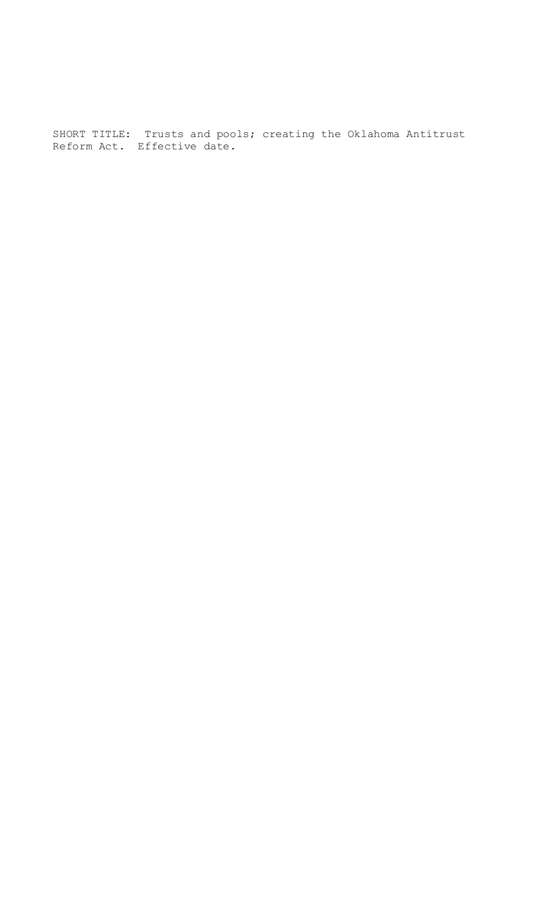SHORT TITLE: Trusts and pools; creating the Oklahoma Antitrust Reform Act. Effective date.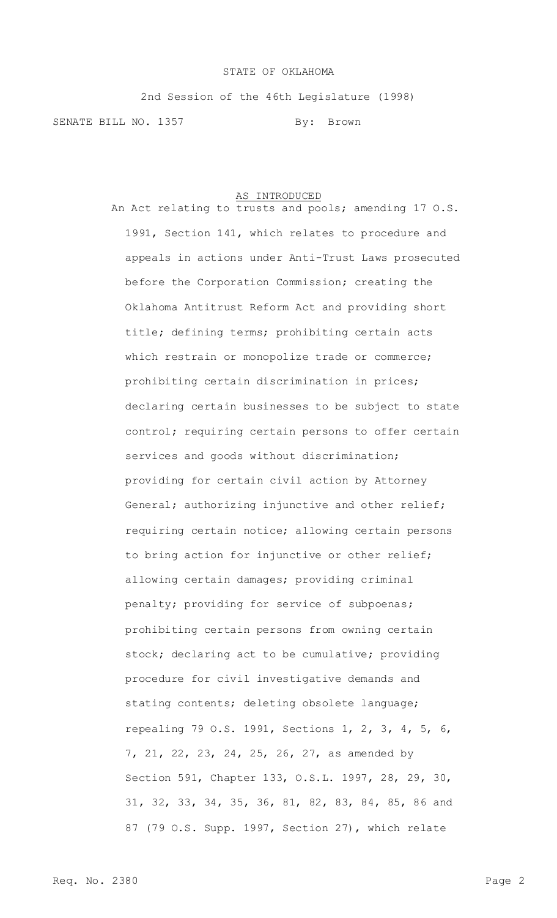## STATE OF OKLAHOMA

2nd Session of the 46th Legislature (1998) SENATE BILL NO. 1357 By: Brown

## AS INTRODUCED

An Act relating to trusts and pools; amending 17 O.S. 1991, Section 141, which relates to procedure and appeals in actions under Anti-Trust Laws prosecuted before the Corporation Commission; creating the Oklahoma Antitrust Reform Act and providing short title; defining terms; prohibiting certain acts which restrain or monopolize trade or commerce; prohibiting certain discrimination in prices; declaring certain businesses to be subject to state control; requiring certain persons to offer certain services and goods without discrimination; providing for certain civil action by Attorney General; authorizing injunctive and other relief; requiring certain notice; allowing certain persons to bring action for injunctive or other relief; allowing certain damages; providing criminal penalty; providing for service of subpoenas; prohibiting certain persons from owning certain stock; declaring act to be cumulative; providing procedure for civil investigative demands and stating contents; deleting obsolete language; repealing 79 O.S. 1991, Sections 1, 2, 3, 4, 5, 6, 7, 21, 22, 23, 24, 25, 26, 27, as amended by Section 591, Chapter 133, O.S.L. 1997, 28, 29, 30, 31, 32, 33, 34, 35, 36, 81, 82, 83, 84, 85, 86 and 87 (79 O.S. Supp. 1997, Section 27), which relate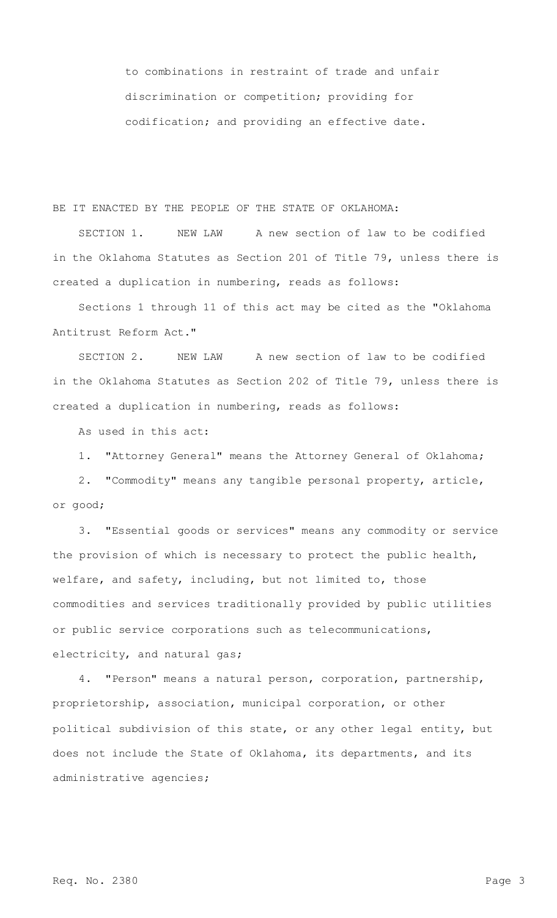to combinations in restraint of trade and unfair discrimination or competition; providing for codification; and providing an effective date.

BE IT ENACTED BY THE PEOPLE OF THE STATE OF OKLAHOMA:

SECTION 1. NEW LAW A new section of law to be codified in the Oklahoma Statutes as Section 201 of Title 79, unless there is created a duplication in numbering, reads as follows:

Sections 1 through 11 of this act may be cited as the "Oklahoma Antitrust Reform Act."

SECTION 2. NEW LAW A new section of law to be codified in the Oklahoma Statutes as Section 202 of Title 79, unless there is created a duplication in numbering, reads as follows:

As used in this act:

1. "Attorney General" means the Attorney General of Oklahoma;

2. "Commodity" means any tangible personal property, article, or good;

3. "Essential goods or services" means any commodity or service the provision of which is necessary to protect the public health, welfare, and safety, including, but not limited to, those commodities and services traditionally provided by public utilities or public service corporations such as telecommunications, electricity, and natural gas;

4. "Person" means a natural person, corporation, partnership, proprietorship, association, municipal corporation, or other political subdivision of this state, or any other legal entity, but does not include the State of Oklahoma, its departments, and its administrative agencies;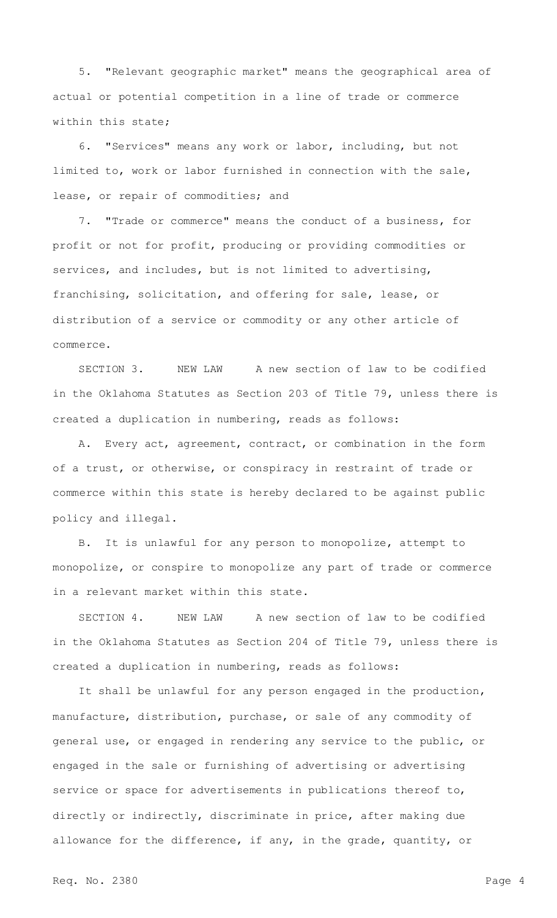5. "Relevant geographic market" means the geographical area of actual or potential competition in a line of trade or commerce within this state;

6. "Services" means any work or labor, including, but not limited to, work or labor furnished in connection with the sale, lease, or repair of commodities; and

7. "Trade or commerce" means the conduct of a business, for profit or not for profit, producing or providing commodities or services, and includes, but is not limited to advertising, franchising, solicitation, and offering for sale, lease, or distribution of a service or commodity or any other article of commerce.

SECTION 3. NEW LAW A new section of law to be codified in the Oklahoma Statutes as Section 203 of Title 79, unless there is created a duplication in numbering, reads as follows:

A. Every act, agreement, contract, or combination in the form of a trust, or otherwise, or conspiracy in restraint of trade or commerce within this state is hereby declared to be against public policy and illegal.

B. It is unlawful for any person to monopolize, attempt to monopolize, or conspire to monopolize any part of trade or commerce in a relevant market within this state.

SECTION 4. NEW LAW A new section of law to be codified in the Oklahoma Statutes as Section 204 of Title 79, unless there is created a duplication in numbering, reads as follows:

It shall be unlawful for any person engaged in the production, manufacture, distribution, purchase, or sale of any commodity of general use, or engaged in rendering any service to the public, or engaged in the sale or furnishing of advertising or advertising service or space for advertisements in publications thereof to, directly or indirectly, discriminate in price, after making due allowance for the difference, if any, in the grade, quantity, or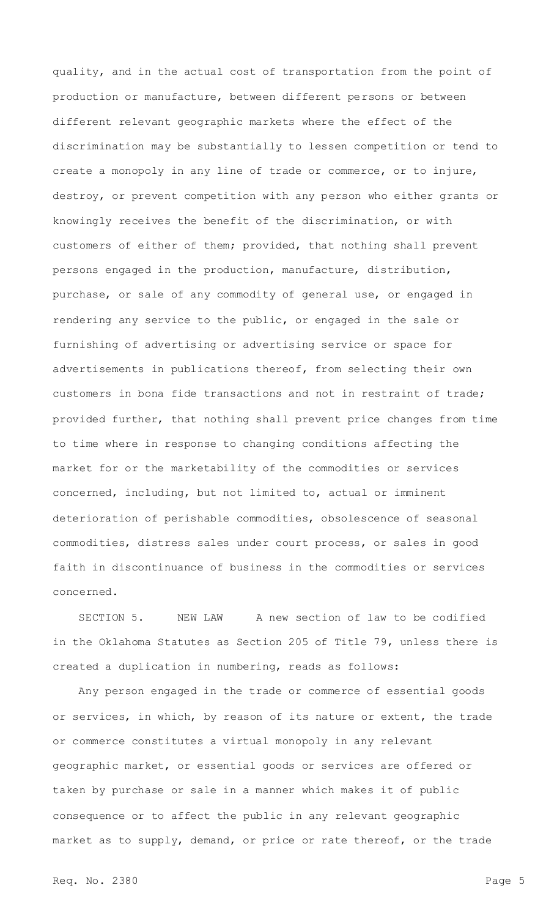quality, and in the actual cost of transportation from the point of production or manufacture, between different persons or between different relevant geographic markets where the effect of the discrimination may be substantially to lessen competition or tend to create a monopoly in any line of trade or commerce, or to injure, destroy, or prevent competition with any person who either grants or knowingly receives the benefit of the discrimination, or with customers of either of them; provided, that nothing shall prevent persons engaged in the production, manufacture, distribution, purchase, or sale of any commodity of general use, or engaged in rendering any service to the public, or engaged in the sale or furnishing of advertising or advertising service or space for advertisements in publications thereof, from selecting their own customers in bona fide transactions and not in restraint of trade; provided further, that nothing shall prevent price changes from time to time where in response to changing conditions affecting the market for or the marketability of the commodities or services concerned, including, but not limited to, actual or imminent deterioration of perishable commodities, obsolescence of seasonal commodities, distress sales under court process, or sales in good faith in discontinuance of business in the commodities or services concerned.

SECTION 5. NEW LAW A new section of law to be codified in the Oklahoma Statutes as Section 205 of Title 79, unless there is created a duplication in numbering, reads as follows:

Any person engaged in the trade or commerce of essential goods or services, in which, by reason of its nature or extent, the trade or commerce constitutes a virtual monopoly in any relevant geographic market, or essential goods or services are offered or taken by purchase or sale in a manner which makes it of public consequence or to affect the public in any relevant geographic market as to supply, demand, or price or rate thereof, or the trade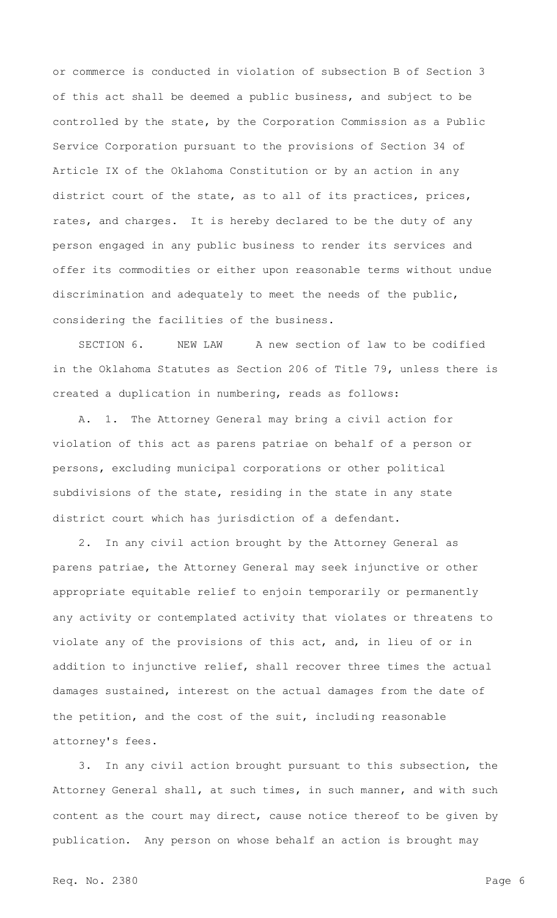or commerce is conducted in violation of subsection B of Section 3 of this act shall be deemed a public business, and subject to be controlled by the state, by the Corporation Commission as a Public Service Corporation pursuant to the provisions of Section 34 of Article IX of the Oklahoma Constitution or by an action in any district court of the state, as to all of its practices, prices, rates, and charges. It is hereby declared to be the duty of any person engaged in any public business to render its services and offer its commodities or either upon reasonable terms without undue discrimination and adequately to meet the needs of the public, considering the facilities of the business.

SECTION 6. NEW LAW A new section of law to be codified in the Oklahoma Statutes as Section 206 of Title 79, unless there is created a duplication in numbering, reads as follows:

A. 1. The Attorney General may bring a civil action for violation of this act as parens patriae on behalf of a person or persons, excluding municipal corporations or other political subdivisions of the state, residing in the state in any state district court which has jurisdiction of a defendant.

2. In any civil action brought by the Attorney General as parens patriae, the Attorney General may seek injunctive or other appropriate equitable relief to enjoin temporarily or permanently any activity or contemplated activity that violates or threatens to violate any of the provisions of this act, and, in lieu of or in addition to injunctive relief, shall recover three times the actual damages sustained, interest on the actual damages from the date of the petition, and the cost of the suit, including reasonable attorney's fees.

3. In any civil action brought pursuant to this subsection, the Attorney General shall, at such times, in such manner, and with such content as the court may direct, cause notice thereof to be given by publication. Any person on whose behalf an action is brought may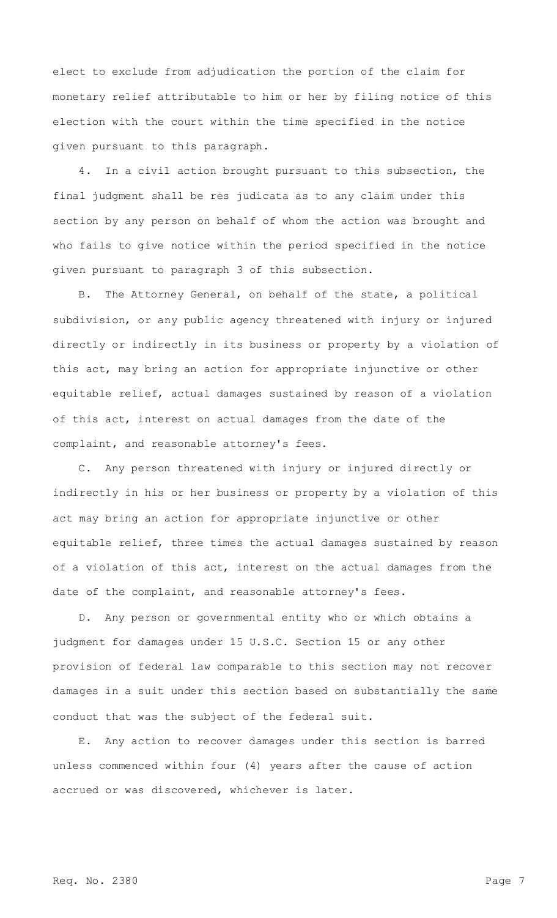elect to exclude from adjudication the portion of the claim for monetary relief attributable to him or her by filing notice of this election with the court within the time specified in the notice given pursuant to this paragraph.

4. In a civil action brought pursuant to this subsection, the final judgment shall be res judicata as to any claim under this section by any person on behalf of whom the action was brought and who fails to give notice within the period specified in the notice given pursuant to paragraph 3 of this subsection.

B. The Attorney General, on behalf of the state, a political subdivision, or any public agency threatened with injury or injured directly or indirectly in its business or property by a violation of this act, may bring an action for appropriate injunctive or other equitable relief, actual damages sustained by reason of a violation of this act, interest on actual damages from the date of the complaint, and reasonable attorney's fees.

C. Any person threatened with injury or injured directly or indirectly in his or her business or property by a violation of this act may bring an action for appropriate injunctive or other equitable relief, three times the actual damages sustained by reason of a violation of this act, interest on the actual damages from the date of the complaint, and reasonable attorney's fees.

D. Any person or governmental entity who or which obtains a judgment for damages under 15 U.S.C. Section 15 or any other provision of federal law comparable to this section may not recover damages in a suit under this section based on substantially the same conduct that was the subject of the federal suit.

E. Any action to recover damages under this section is barred unless commenced within four (4) years after the cause of action accrued or was discovered, whichever is later.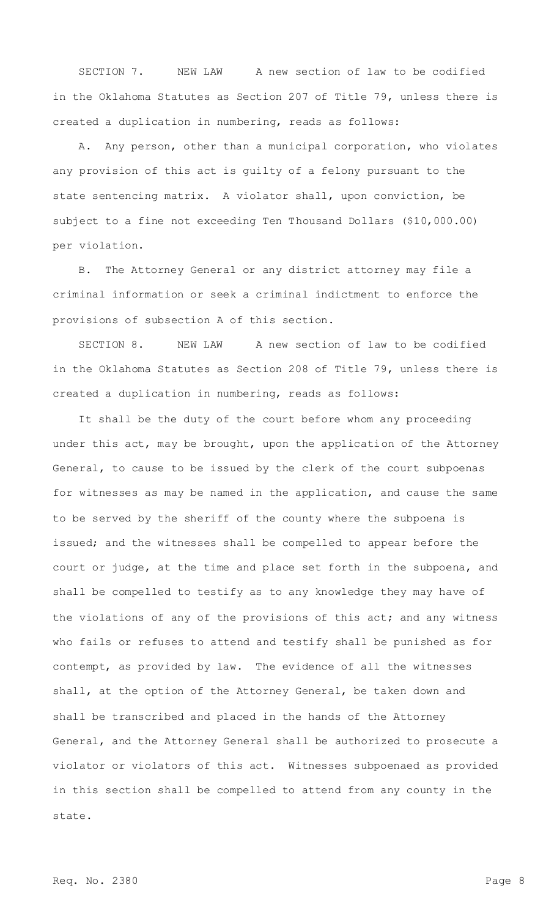SECTION 7. NEW LAW A new section of law to be codified in the Oklahoma Statutes as Section 207 of Title 79, unless there is created a duplication in numbering, reads as follows:

A. Any person, other than a municipal corporation, who violates any provision of this act is guilty of a felony pursuant to the state sentencing matrix. A violator shall, upon conviction, be subject to a fine not exceeding Ten Thousand Dollars (\$10,000.00) per violation.

B. The Attorney General or any district attorney may file a criminal information or seek a criminal indictment to enforce the provisions of subsection A of this section.

SECTION 8. NEW LAW A new section of law to be codified in the Oklahoma Statutes as Section 208 of Title 79, unless there is created a duplication in numbering, reads as follows:

It shall be the duty of the court before whom any proceeding under this act, may be brought, upon the application of the Attorney General, to cause to be issued by the clerk of the court subpoenas for witnesses as may be named in the application, and cause the same to be served by the sheriff of the county where the subpoena is issued; and the witnesses shall be compelled to appear before the court or judge, at the time and place set forth in the subpoena, and shall be compelled to testify as to any knowledge they may have of the violations of any of the provisions of this act; and any witness who fails or refuses to attend and testify shall be punished as for contempt, as provided by law. The evidence of all the witnesses shall, at the option of the Attorney General, be taken down and shall be transcribed and placed in the hands of the Attorney General, and the Attorney General shall be authorized to prosecute a violator or violators of this act. Witnesses subpoenaed as provided in this section shall be compelled to attend from any county in the state.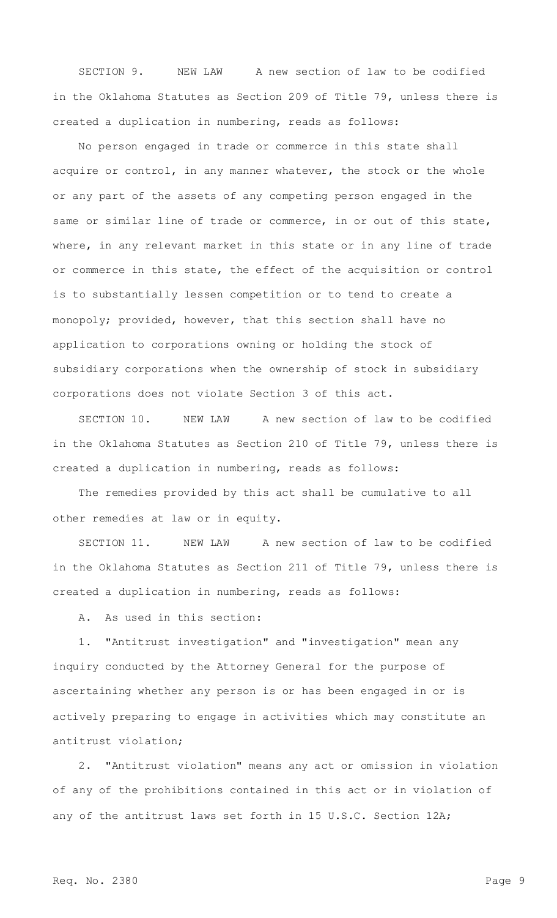SECTION 9. NEW LAW A new section of law to be codified in the Oklahoma Statutes as Section 209 of Title 79, unless there is created a duplication in numbering, reads as follows:

No person engaged in trade or commerce in this state shall acquire or control, in any manner whatever, the stock or the whole or any part of the assets of any competing person engaged in the same or similar line of trade or commerce, in or out of this state, where, in any relevant market in this state or in any line of trade or commerce in this state, the effect of the acquisition or control is to substantially lessen competition or to tend to create a monopoly; provided, however, that this section shall have no application to corporations owning or holding the stock of subsidiary corporations when the ownership of stock in subsidiary corporations does not violate Section 3 of this act.

SECTION 10. NEW LAW A new section of law to be codified in the Oklahoma Statutes as Section 210 of Title 79, unless there is created a duplication in numbering, reads as follows:

The remedies provided by this act shall be cumulative to all other remedies at law or in equity.

SECTION 11. NEW LAW A new section of law to be codified in the Oklahoma Statutes as Section 211 of Title 79, unless there is created a duplication in numbering, reads as follows:

A. As used in this section:

1. "Antitrust investigation" and "investigation" mean any inquiry conducted by the Attorney General for the purpose of ascertaining whether any person is or has been engaged in or is actively preparing to engage in activities which may constitute an antitrust violation;

2. "Antitrust violation" means any act or omission in violation of any of the prohibitions contained in this act or in violation of any of the antitrust laws set forth in 15 U.S.C. Section 12A;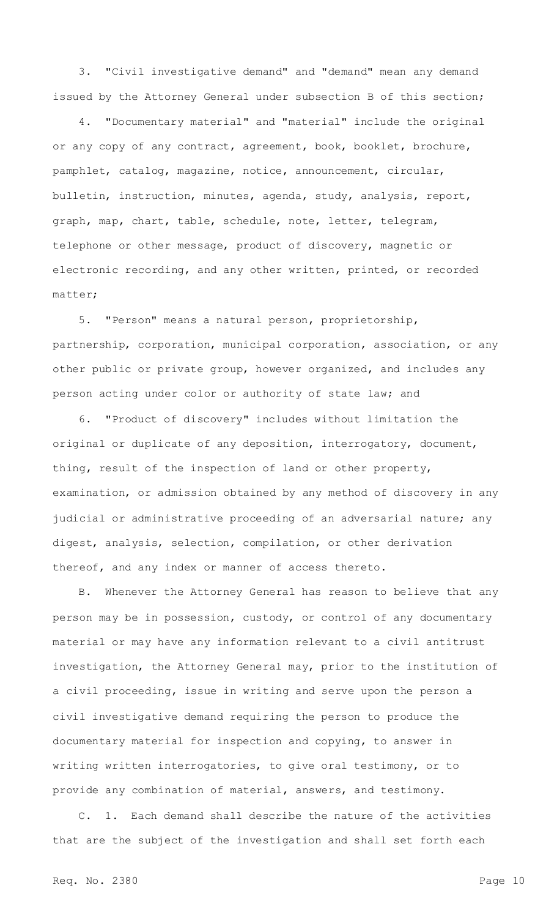3. "Civil investigative demand" and "demand" mean any demand issued by the Attorney General under subsection B of this section;

4. "Documentary material" and "material" include the original or any copy of any contract, agreement, book, booklet, brochure, pamphlet, catalog, magazine, notice, announcement, circular, bulletin, instruction, minutes, agenda, study, analysis, report, graph, map, chart, table, schedule, note, letter, telegram, telephone or other message, product of discovery, magnetic or electronic recording, and any other written, printed, or recorded matter;

5. "Person" means a natural person, proprietorship, partnership, corporation, municipal corporation, association, or any other public or private group, however organized, and includes any person acting under color or authority of state law; and

6. "Product of discovery" includes without limitation the original or duplicate of any deposition, interrogatory, document, thing, result of the inspection of land or other property, examination, or admission obtained by any method of discovery in any judicial or administrative proceeding of an adversarial nature; any digest, analysis, selection, compilation, or other derivation thereof, and any index or manner of access thereto.

B. Whenever the Attorney General has reason to believe that any person may be in possession, custody, or control of any documentary material or may have any information relevant to a civil antitrust investigation, the Attorney General may, prior to the institution of a civil proceeding, issue in writing and serve upon the person a civil investigative demand requiring the person to produce the documentary material for inspection and copying, to answer in writing written interrogatories, to give oral testimony, or to provide any combination of material, answers, and testimony.

C. 1. Each demand shall describe the nature of the activities that are the subject of the investigation and shall set forth each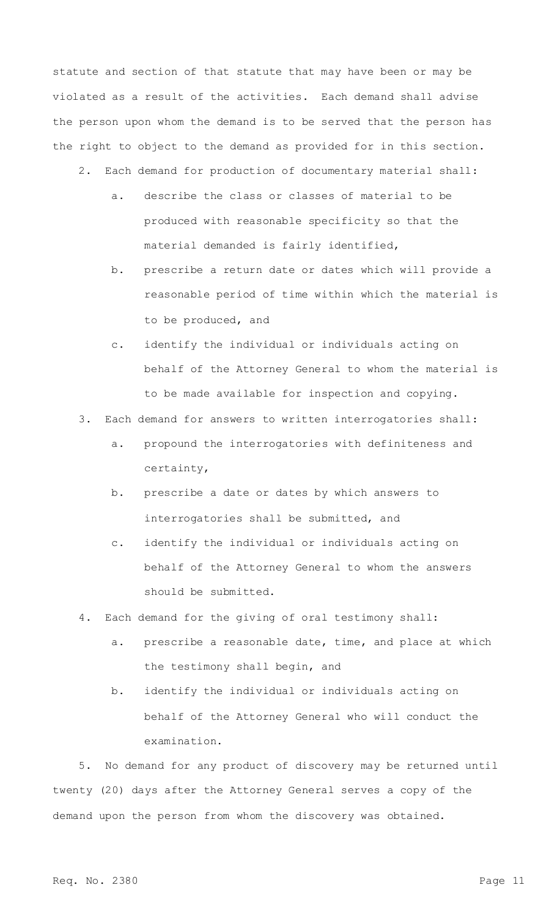statute and section of that statute that may have been or may be violated as a result of the activities. Each demand shall advise the person upon whom the demand is to be served that the person has the right to object to the demand as provided for in this section.

- 2. Each demand for production of documentary material shall:
	- a. describe the class or classes of material to be produced with reasonable specificity so that the material demanded is fairly identified,
	- b. prescribe a return date or dates which will provide a reasonable period of time within which the material is to be produced, and
	- c. identify the individual or individuals acting on behalf of the Attorney General to whom the material is to be made available for inspection and copying.
- 3. Each demand for answers to written interrogatories shall:
	- a. propound the interrogatories with definiteness and certainty,
	- b. prescribe a date or dates by which answers to interrogatories shall be submitted, and
	- c. identify the individual or individuals acting on behalf of the Attorney General to whom the answers should be submitted.
- 4. Each demand for the giving of oral testimony shall:
	- a. prescribe a reasonable date, time, and place at which the testimony shall begin, and
	- b. identify the individual or individuals acting on behalf of the Attorney General who will conduct the examination.

5. No demand for any product of discovery may be returned until twenty (20) days after the Attorney General serves a copy of the demand upon the person from whom the discovery was obtained.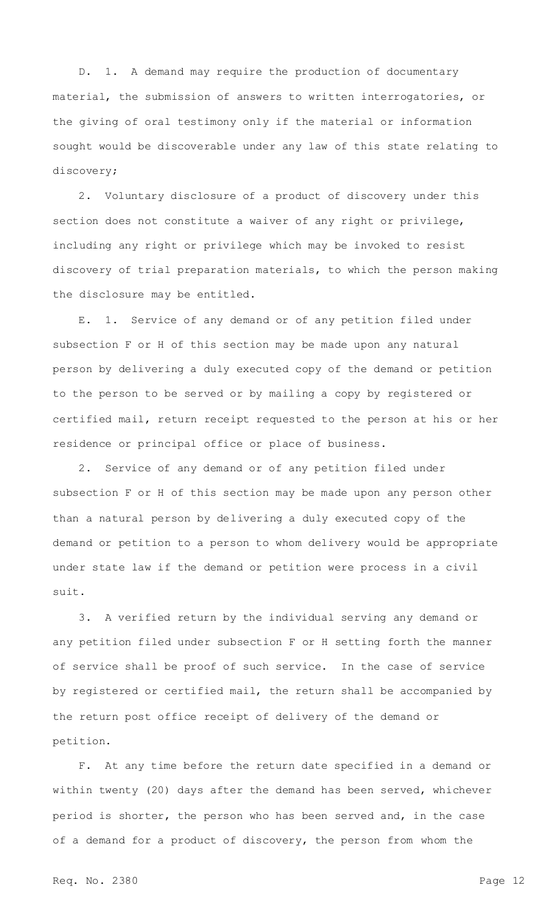D. 1. A demand may require the production of documentary material, the submission of answers to written interrogatories, or the giving of oral testimony only if the material or information sought would be discoverable under any law of this state relating to discovery;

2. Voluntary disclosure of a product of discovery under this section does not constitute a waiver of any right or privilege, including any right or privilege which may be invoked to resist discovery of trial preparation materials, to which the person making the disclosure may be entitled.

E. 1. Service of any demand or of any petition filed under subsection F or H of this section may be made upon any natural person by delivering a duly executed copy of the demand or petition to the person to be served or by mailing a copy by registered or certified mail, return receipt requested to the person at his or her residence or principal office or place of business.

2. Service of any demand or of any petition filed under subsection F or H of this section may be made upon any person other than a natural person by delivering a duly executed copy of the demand or petition to a person to whom delivery would be appropriate under state law if the demand or petition were process in a civil suit.

3. A verified return by the individual serving any demand or any petition filed under subsection F or H setting forth the manner of service shall be proof of such service. In the case of service by registered or certified mail, the return shall be accompanied by the return post office receipt of delivery of the demand or petition.

F. At any time before the return date specified in a demand or within twenty (20) days after the demand has been served, whichever period is shorter, the person who has been served and, in the case of a demand for a product of discovery, the person from whom the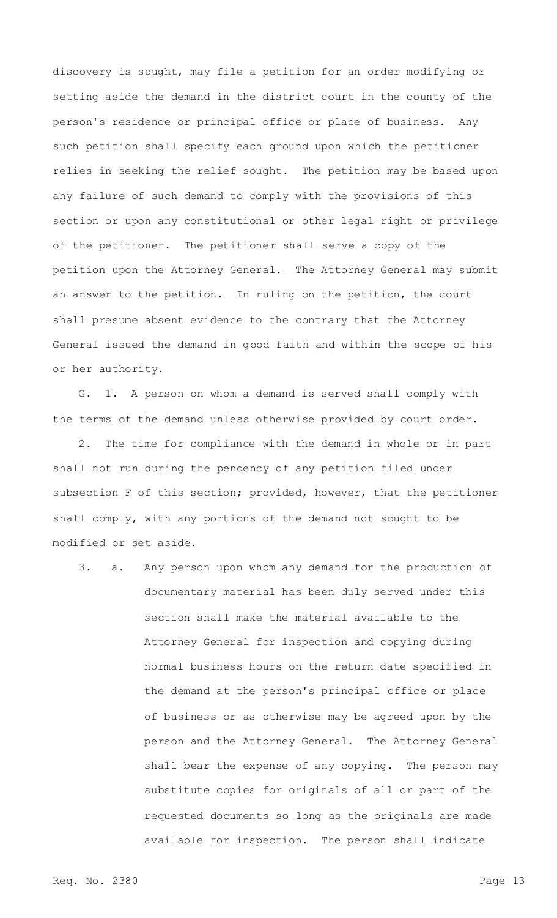discovery is sought, may file a petition for an order modifying or setting aside the demand in the district court in the county of the person's residence or principal office or place of business. Any such petition shall specify each ground upon which the petitioner relies in seeking the relief sought. The petition may be based upon any failure of such demand to comply with the provisions of this section or upon any constitutional or other legal right or privilege of the petitioner. The petitioner shall serve a copy of the petition upon the Attorney General. The Attorney General may submit an answer to the petition. In ruling on the petition, the court shall presume absent evidence to the contrary that the Attorney General issued the demand in good faith and within the scope of his or her authority.

G. 1. A person on whom a demand is served shall comply with the terms of the demand unless otherwise provided by court order.

2. The time for compliance with the demand in whole or in part shall not run during the pendency of any petition filed under subsection F of this section; provided, however, that the petitioner shall comply, with any portions of the demand not sought to be modified or set aside.

3. a. Any person upon whom any demand for the production of documentary material has been duly served under this section shall make the material available to the Attorney General for inspection and copying during normal business hours on the return date specified in the demand at the person's principal office or place of business or as otherwise may be agreed upon by the person and the Attorney General. The Attorney General shall bear the expense of any copying. The person may substitute copies for originals of all or part of the requested documents so long as the originals are made available for inspection. The person shall indicate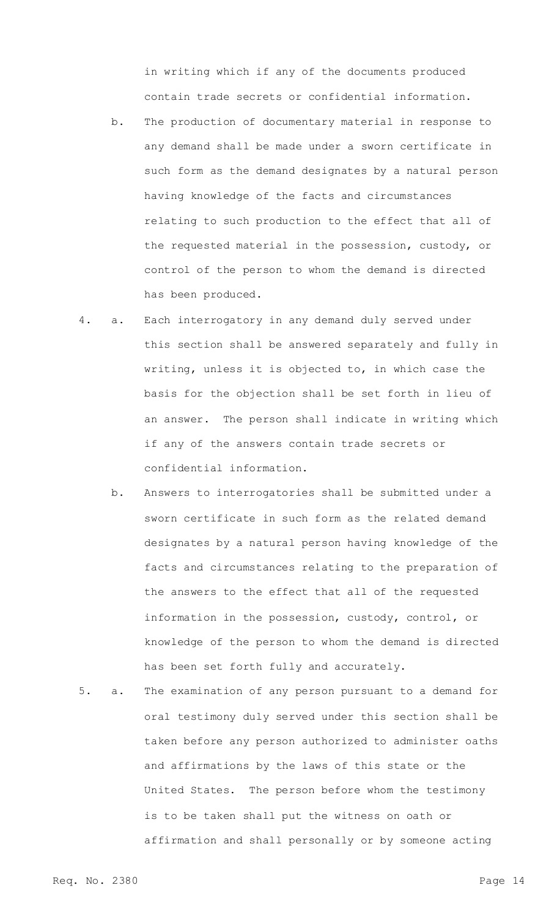in writing which if any of the documents produced contain trade secrets or confidential information.

- b. The production of documentary material in response to any demand shall be made under a sworn certificate in such form as the demand designates by a natural person having knowledge of the facts and circumstances relating to such production to the effect that all of the requested material in the possession, custody, or control of the person to whom the demand is directed has been produced.
- 4. a. Each interrogatory in any demand duly served under this section shall be answered separately and fully in writing, unless it is objected to, in which case the basis for the objection shall be set forth in lieu of an answer. The person shall indicate in writing which if any of the answers contain trade secrets or confidential information.
	- b. Answers to interrogatories shall be submitted under a sworn certificate in such form as the related demand designates by a natural person having knowledge of the facts and circumstances relating to the preparation of the answers to the effect that all of the requested information in the possession, custody, control, or knowledge of the person to whom the demand is directed has been set forth fully and accurately.
- 5. a. The examination of any person pursuant to a demand for oral testimony duly served under this section shall be taken before any person authorized to administer oaths and affirmations by the laws of this state or the United States. The person before whom the testimony is to be taken shall put the witness on oath or affirmation and shall personally or by someone acting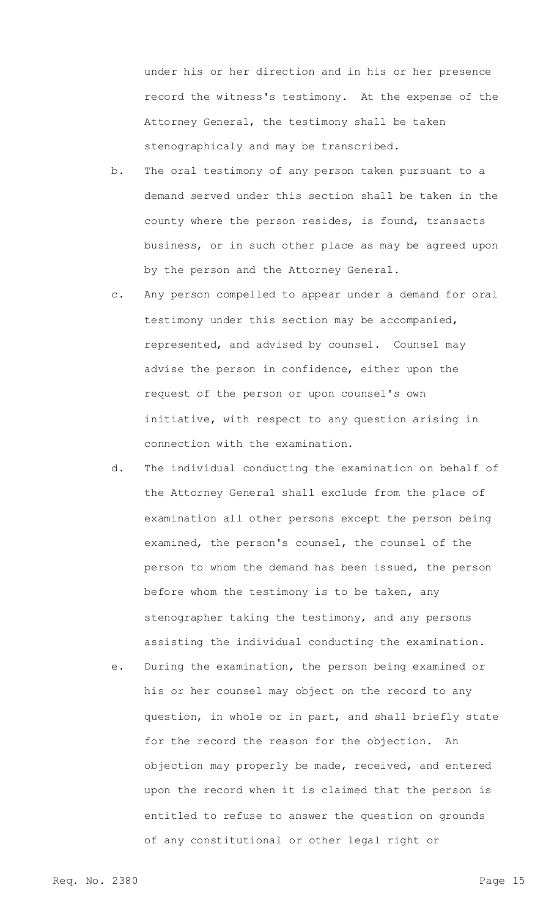under his or her direction and in his or her presence record the witness's testimony. At the expense of the Attorney General, the testimony shall be taken stenographicaly and may be transcribed.

- b. The oral testimony of any person taken pursuant to a demand served under this section shall be taken in the county where the person resides, is found, transacts business, or in such other place as may be agreed upon by the person and the Attorney General.
- c. Any person compelled to appear under a demand for oral testimony under this section may be accompanied, represented, and advised by counsel. Counsel may advise the person in confidence, either upon the request of the person or upon counsel's own initiative, with respect to any question arising in connection with the examination.
- d. The individual conducting the examination on behalf of the Attorney General shall exclude from the place of examination all other persons except the person being examined, the person's counsel, the counsel of the person to whom the demand has been issued, the person before whom the testimony is to be taken, any stenographer taking the testimony, and any persons assisting the individual conducting the examination.
- e. During the examination, the person being examined or his or her counsel may object on the record to any question, in whole or in part, and shall briefly state for the record the reason for the objection. An objection may properly be made, received, and entered upon the record when it is claimed that the person is entitled to refuse to answer the question on grounds of any constitutional or other legal right or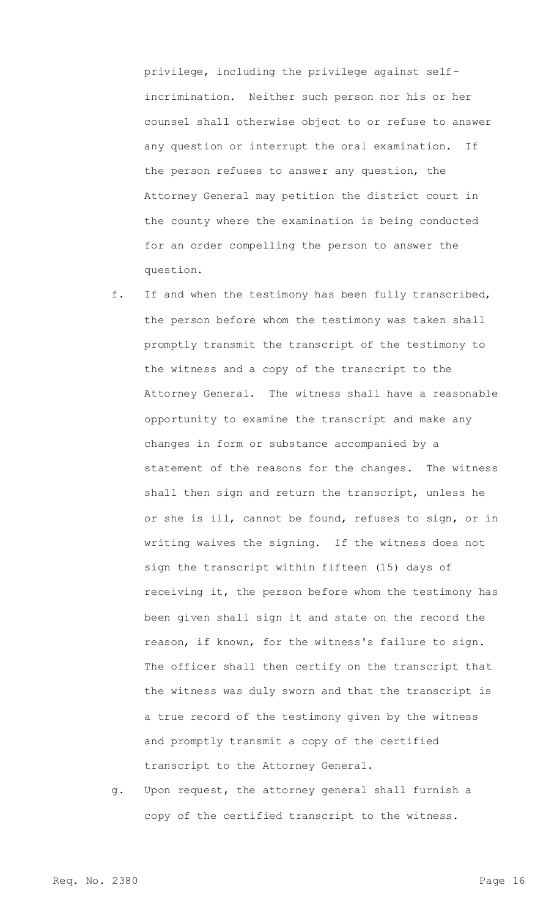privilege, including the privilege against selfincrimination. Neither such person nor his or her counsel shall otherwise object to or refuse to answer any question or interrupt the oral examination. If the person refuses to answer any question, the Attorney General may petition the district court in the county where the examination is being conducted for an order compelling the person to answer the question.

- f. If and when the testimony has been fully transcribed, the person before whom the testimony was taken shall promptly transmit the transcript of the testimony to the witness and a copy of the transcript to the Attorney General. The witness shall have a reasonable opportunity to examine the transcript and make any changes in form or substance accompanied by a statement of the reasons for the changes. The witness shall then sign and return the transcript, unless he or she is ill, cannot be found, refuses to sign, or in writing waives the signing. If the witness does not sign the transcript within fifteen (15) days of receiving it, the person before whom the testimony has been given shall sign it and state on the record the reason, if known, for the witness's failure to sign. The officer shall then certify on the transcript that the witness was duly sworn and that the transcript is a true record of the testimony given by the witness and promptly transmit a copy of the certified transcript to the Attorney General.
- g. Upon request, the attorney general shall furnish a copy of the certified transcript to the witness.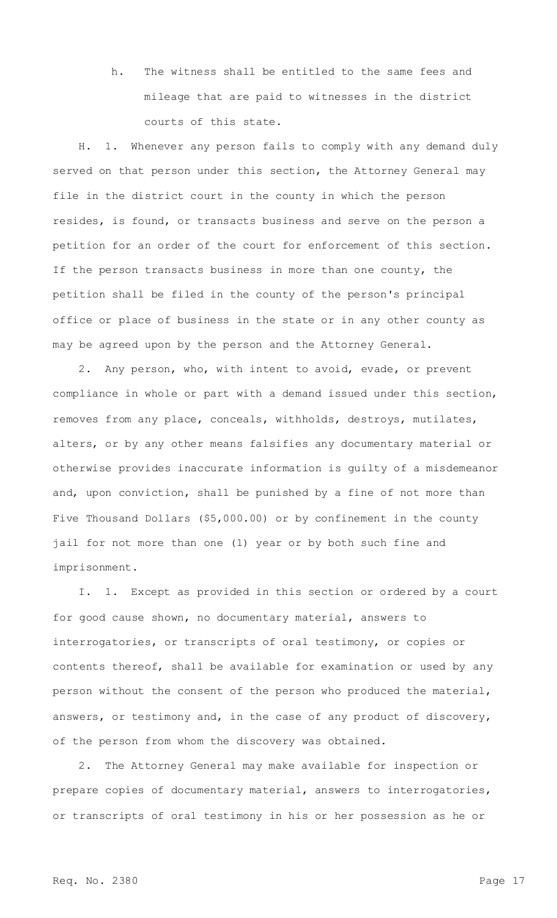h. The witness shall be entitled to the same fees and mileage that are paid to witnesses in the district courts of this state.

H. 1. Whenever any person fails to comply with any demand duly served on that person under this section, the Attorney General may file in the district court in the county in which the person resides, is found, or transacts business and serve on the person a petition for an order of the court for enforcement of this section. If the person transacts business in more than one county, the petition shall be filed in the county of the person's principal office or place of business in the state or in any other county as may be agreed upon by the person and the Attorney General.

2. Any person, who, with intent to avoid, evade, or prevent compliance in whole or part with a demand issued under this section, removes from any place, conceals, withholds, destroys, mutilates, alters, or by any other means falsifies any documentary material or otherwise provides inaccurate information is guilty of a misdemeanor and, upon conviction, shall be punished by a fine of not more than Five Thousand Dollars (\$5,000.00) or by confinement in the county jail for not more than one (1) year or by both such fine and imprisonment.

I. 1. Except as provided in this section or ordered by a court for good cause shown, no documentary material, answers to interrogatories, or transcripts of oral testimony, or copies or contents thereof, shall be available for examination or used by any person without the consent of the person who produced the material, answers, or testimony and, in the case of any product of discovery, of the person from whom the discovery was obtained.

2. The Attorney General may make available for inspection or prepare copies of documentary material, answers to interrogatories, or transcripts of oral testimony in his or her possession as he or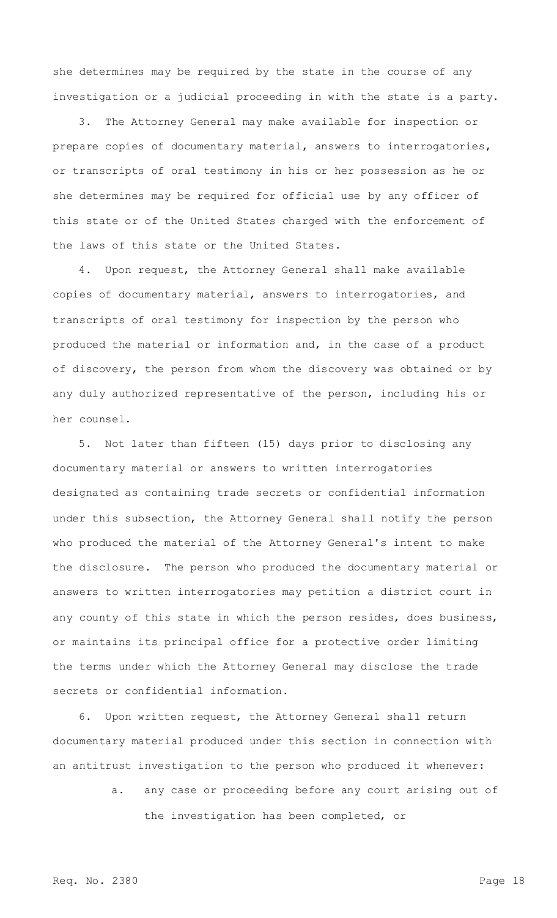she determines may be required by the state in the course of any investigation or a judicial proceeding in with the state is a party.

3. The Attorney General may make available for inspection or prepare copies of documentary material, answers to interrogatories, or transcripts of oral testimony in his or her possession as he or she determines may be required for official use by any officer of this state or of the United States charged with the enforcement of the laws of this state or the United States.

4. Upon request, the Attorney General shall make available copies of documentary material, answers to interrogatories, and transcripts of oral testimony for inspection by the person who produced the material or information and, in the case of a product of discovery, the person from whom the discovery was obtained or by any duly authorized representative of the person, including his or her counsel.

5. Not later than fifteen (15) days prior to disclosing any documentary material or answers to written interrogatories designated as containing trade secrets or confidential information under this subsection, the Attorney General shall notify the person who produced the material of the Attorney General's intent to make the disclosure. The person who produced the documentary material or answers to written interrogatories may petition a district court in any county of this state in which the person resides, does business, or maintains its principal office for a protective order limiting the terms under which the Attorney General may disclose the trade secrets or confidential information.

6. Upon written request, the Attorney General shall return documentary material produced under this section in connection with an antitrust investigation to the person who produced it whenever:

> a. any case or proceeding before any court arising out of the investigation has been completed, or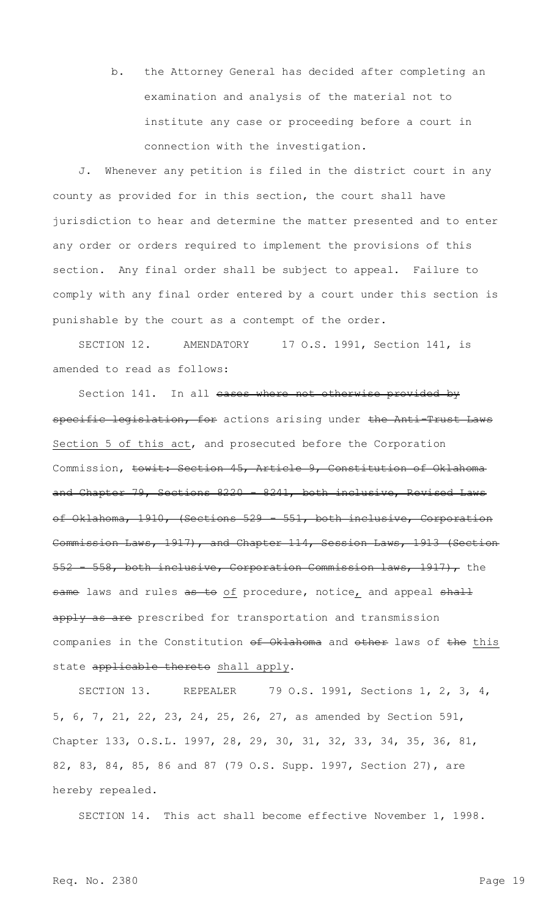b. the Attorney General has decided after completing an examination and analysis of the material not to institute any case or proceeding before a court in connection with the investigation.

J. Whenever any petition is filed in the district court in any county as provided for in this section, the court shall have jurisdiction to hear and determine the matter presented and to enter any order or orders required to implement the provisions of this section. Any final order shall be subject to appeal. Failure to comply with any final order entered by a court under this section is punishable by the court as a contempt of the order.

SECTION 12. AMENDATORY 17 O.S. 1991, Section 141, is amended to read as follows:

Section 141. In all cases where not otherwise provided by specific legislation, for actions arising under the Anti-Trust Laws Section 5 of this act, and prosecuted before the Corporation Commission, towit: Section 45, Article 9, Constitution of Oklahoma and Chapter 79, Sections 8220 - 8241, both inclusive, Revised Laws of Oklahoma, 1910, (Sections 529 - 551, both inclusive, Corporation Commission Laws, 1917), and Chapter 114, Session Laws, 1913 (Section 552 - 558, both inclusive, Corporation Commission laws, 1917), the same laws and rules as to of procedure, notice, and appeal shall apply as are prescribed for transportation and transmission companies in the Constitution of Oklahoma and other laws of the this state applicable thereto shall apply.

SECTION 13. REPEALER 79 O.S. 1991, Sections 1, 2, 3, 4, 5, 6, 7, 21, 22, 23, 24, 25, 26, 27, as amended by Section 591, Chapter 133, O.S.L. 1997, 28, 29, 30, 31, 32, 33, 34, 35, 36, 81, 82, 83, 84, 85, 86 and 87 (79 O.S. Supp. 1997, Section 27), are hereby repealed.

SECTION 14. This act shall become effective November 1, 1998.